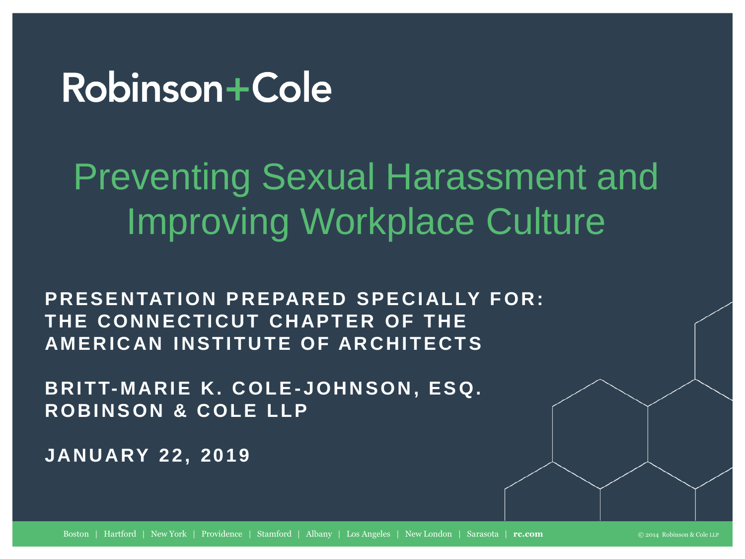### Robinson+Cole

**Preventing Sexual Harassment and**  Preventing Sexual Harassment and **Improving Workplace Culture**  Improving Workplace Culture

PRESENTATION PREPARED SPECIALLY FOR: **THE CONNECTICUT CHAPTER OF THE AMERICAN INSTITUTE OF ARCHITECTS** 

**BRITT-MARIE K. COLE-JOHNSON, ESQ. ROBINSON & COLE LLP** 

**JANUARY 22, 2019 JANU ARY 22, 2019**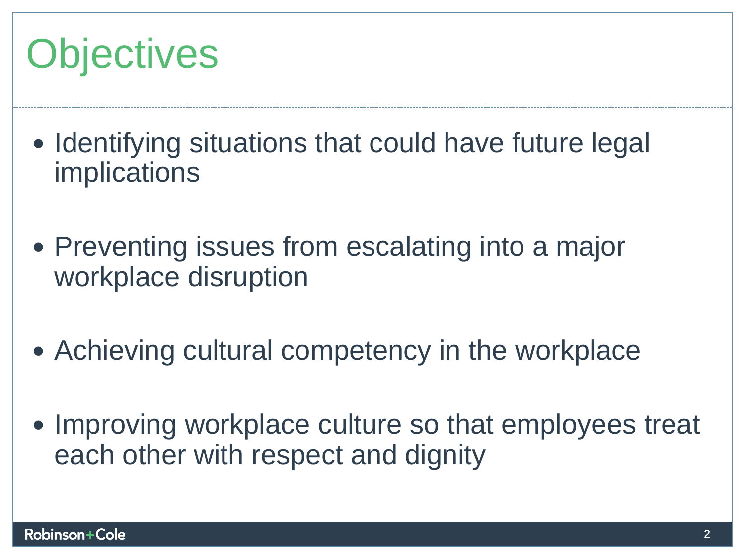## **Objectives**  Objectives

- **Identifying situations that could have future legal**  Identifying situations that could have future legal **implications**  implications
- **Preventing issues from escalating into a major**  Preventing issues from escalating into a major **workplace disruption**  workplace disruption
- **Achieving cultural competency in the workplace**  Achieving cultural competency in the workplace
- **Improving workplace culture so that employees treat**  Improving workplace culture so that employees treat **each other with respect and dignity**  each other with respect and dignity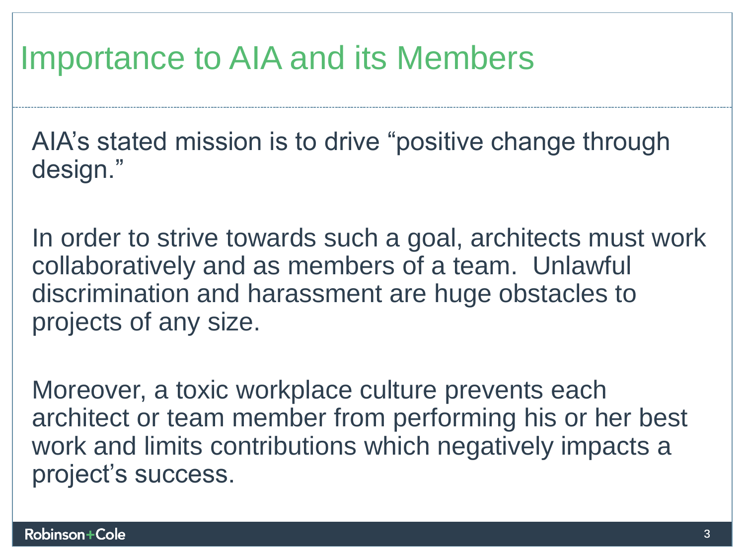### **Importance to AIA and its Members**  Importance to AIA and its Members

**AIA's stated mission is to drive "positive change through**  AIA's stated mission is to drive "positive change through **design."**  design."

**In order to strive towards such a goal, architects must work collaboratively and as members of a team. Unlawful discrimination and harassment are huge obstacles to projects of any size.**  projects of any size. In order to strive towards such a goal, architects must work<br>collaboratively and as members of a team. Unlawful<br>discrimination and harassment are huge obstacles to

**Moreover, a toxic workplace culture prevents each**  Moreover, a toxic workplace culture prevents each **architect or team member from performing his or her best**  architect or team member from performing his or her best **work and limits contributions which negatively impacts a**  work and limits contributions which negatively impacts a **project's success.**  project's success.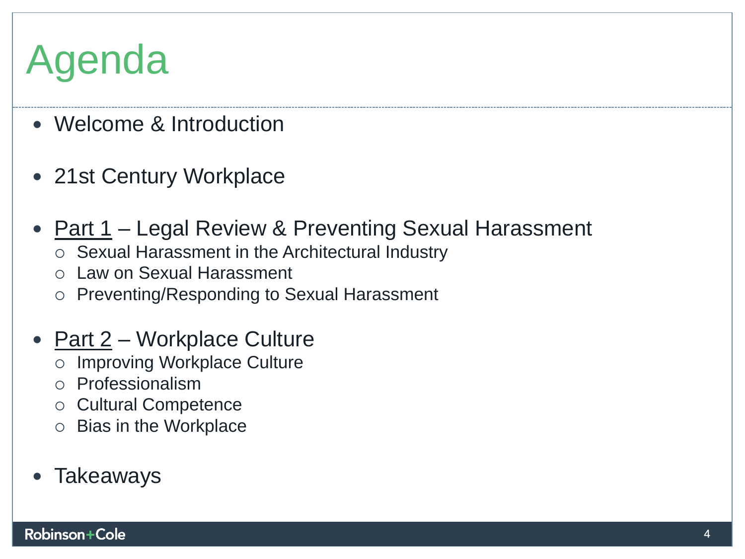## **Agenda**  Agenda

- **Welcome & Introduction**  Welcome & Introduction
- **21st Century Workplace**  21st Century Workplace
- **Part 1 Legal Review & Preventing Sexual Harassment** 
	- **o Sexual Harassment in the Architectural Industry**  Sexual Harassment in the Architectural Industry
	- **o Law on Sexual Harassment**  Law on Sexual Harassment
	- **o Preventing/Responding to Sexual Harassment**  Preventing/Responding to Sexual Harassment
- **Part 2 Workplace Culture** 
	- **o Improving Workplace Culture**  Improving Workplace Culture
	- **o Professionalism**  Professionalism
	- **o Cultural Competence**  Cultural Competence
	- **o Bias in the Workplace**  Bias in the Workplace
- **Takeaways**  Takeaways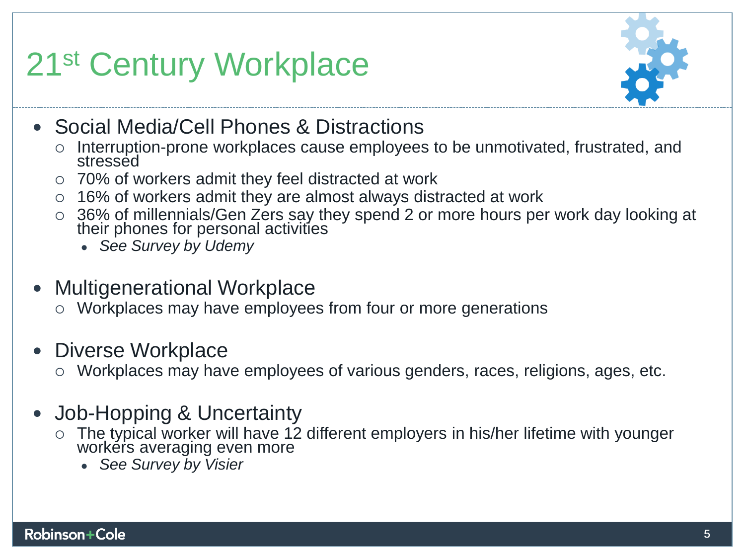### **21st Century Workplace**  21st Century Workplace



- **Social Media/Cell Phones & Distractions**  Social Media/Cell Phones & Distractions
	- **o Interruption-prone workplaces cause employees to be unmotivated, frustrated, and**  Interruption-prone workplaces cause employees to be unmotivated, frustrated, and stressed **stressed**
	- **o 70% of workers admit they feel distracted at work**  70% of workers admit they feel distracted at work
	- **o 16% of workers admit they are almost always distracted at work**  16% of workers admit they are almost always distracted at work
	- **o 36% of millennials/Gen Zers say they spend 2 or more hours per work day looking at their phones for personal activities**  36% of millennials/Gen Zers say they spend 2 or more hours per work day looking at their phones for personal activities
		- *See Survey by Udemy See Survey by Udemy*
- **Multigenerational Workplace**  Multigenerational Workplace
	- **o Workplaces may have employees from four or more generations**  Workplaces may have employees from four or more generations
- **Diverse Workplace**  Diverse Workplace
	- **o Workplaces may have employees of various genders, races, religions, ages, etc.**  Workplaces may have employees of various genders, races, religions, ages, etc.
- **Job-Hopping & Uncertainty**  Job-Hopping & Uncertainty
	- o The typical worker will have 12 different employers in his/her lifetime with younger workers averaging even more **workers averaging even more** 
		- *See Survey by Visier See Survey by Visier*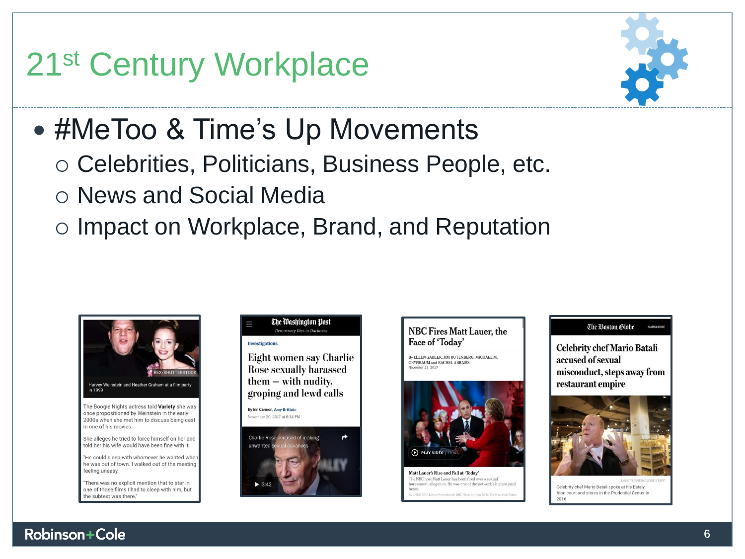### **21st Century Workplace**  21st Century Workplace



### **• #MeToo & Time's Up Movements**

- **o Celebrities, Politicians, Business People, etc.**  Celebrities, Politicians, Business People, etc.
- **o News and Social Media**  News and Social Media
- **o Impact on Workplace, Brand, and Reputation**  Impact on Workplace, Brand, and Reputation



"He could sleep with whomever he wanted when he was out of town. I walked out of the meeting feeling uneasy.

'There was no explicit mention that to star in one of those films I had to sleep with him, but the subtext was there



By Irin Carmon, Amy Brittain November 20, 2017 at 6:34 PM





By ELLEN GABLER, JIM RUTENBERG, MICHAEL M. CRYNEMUM and RACHEL ABRAMS November 29, 2017



Matt Lauer's Rise and Fall at 'Today' The NBC host Matt Lauer has been fired over a sexual ment allegation. He was one of the network's highest paid

#### The Boston Globe

Celebrity chef Mario Batali accused of sexual misconduct, steps away from restaurant empire



Celebrity chef Mario Batali spoke at his Eataly star food court and stores in the Prudential Center in 2016. URNER/GLOBE

#### **Robinson Cole** 6 6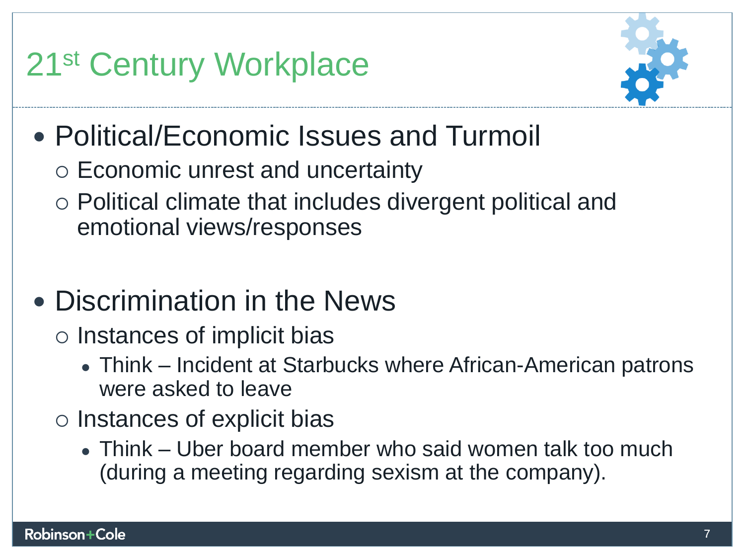### **21st Century Workplace**  21st Century Workplace



- **Political/Economic Issues and Turmoil**  Political/Economic Issues and Turmoil
	- **o Economic unrest and uncertainty**  Economic unrest and uncertainty
	- **o Political climate that includes divergent political and**  Political climate that includes divergent political and **emotional views/responses**  emotional views/responses
- **Discrimination in the News**  Discrimination in the News
	- **o Instances of implicit bias**  Instances of implicit bias
		- **. Think Incident at Starbucks where African-American patrons**  Think Incident at Starbucks where African-American patrons **were asked to leave**  were asked to leave
	- **o Instances of explicit bias**  Instances of explicit bias
		- **. Think Uber board member who said women talk too much**  Think Uber board member who said women talk too much **(during a meeting regarding sexism at the company).**  (during a meeting regarding sexism at the company).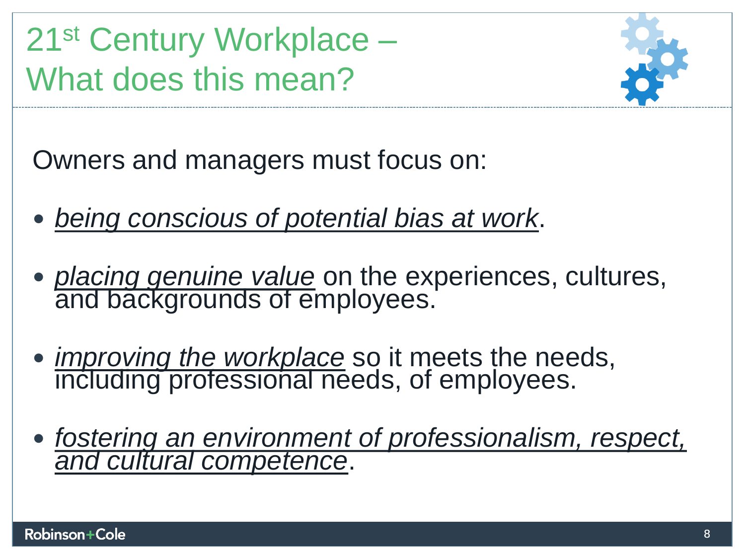**21st Century Workplace**  21st Century Workplace – **What does this mean?**  What does this mean?



**Owners and managers must focus on:**  Owners and managers must focus on:

- **being conscious of potential bias at work.**  *being conscious of potential bias at work*.
- **placing genuine value on the experiences, cultures, and backgrounds of employees.**  *placing genuine value* on the experiences, cultures, and backgrounds of employees.
- **improving the workplace so it meets the needs, including professional needs, of employees.**  *improving the workplace* so it meets the needs, including professional needs, of employees.
- **fostering an environment of professionalism, respect, and cultural competence.**  *fostering an environment of professionalism, respect, and cultural competence*.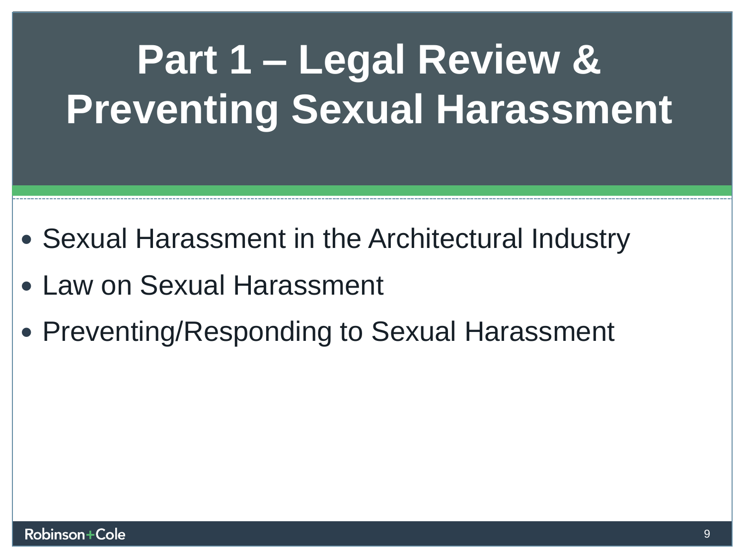## **Part 1 Legal Review & Part 1 – Legal Review & Preventing Sexual Harassment Preventing Sexual Harassment**

- **Sexual Harassment in the Architectural Industry**  Sexual Harassment in the Architectural Industry
- **Law on Sexual Harassment**  Law on Sexual Harassment
- **Preventing/Responding to Sexual Harassment**  Preventing/Responding to Sexual Harassment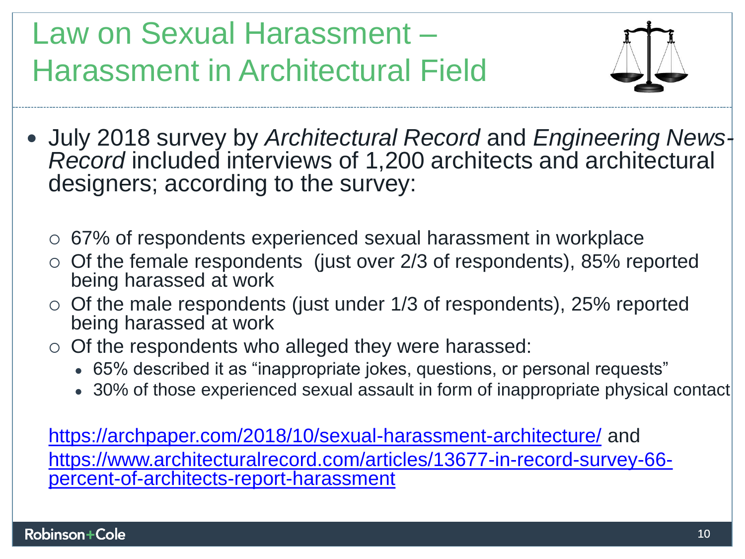**Law on Sexual Harassment**  Law on Sexual Harassment – **Harassment in Architectural Fieia** Harassment in Architectural Field



- **July 2018 survey by Architectural Record and Engineering News-** July 2018 survey by *Architectural Record* and *Engineering News-***Record included interviews of 1,200 architects and architectural**  *Record* included interviews of 1,200 architects and architectural **designers; according to the survey:**  designers; according to the survey:
	- **o 67% of respondents experienced sexual harassment in workplace**  67% of respondents experienced sexual harassment in workplace
	- o Of the female respondents (just over 2/3 of respondents), 85% reported being harassed at work **being harassed at work**
	- o Of the male respondents (just under 1/3 of respondents), 25% reported being harassed at work **being harassed at work**
	- **o Of the respondents who alleged they were harassed:**  Of the respondents who alleged they were harassed:
		- **65% described it as "inappropriate jokes, questions, or personal requests"**  65% described it as "inappropriate jokes, questions, or personal requests"
		- 30% of those experienced sexual assault in form of inappropriate physical contact

**https://archpaper.com/2018/10/sexual-harassment-architecture/ and**  <https://archpaper.com/2018/10/sexual-harassment-architecture/> and [https://www.architecturalrecord.com/articles/13677-in-record-survey-66](https://www.architecturalrecord.com/articles/13677-in-record-survey-66-percent-of-architects-report-harassment) **percent-of-architects-report-harassment**  [percent-of-architects-report-harassment](https://www.architecturalrecord.com/articles/13677-in-record-survey-66-percent-of-architects-report-harassment)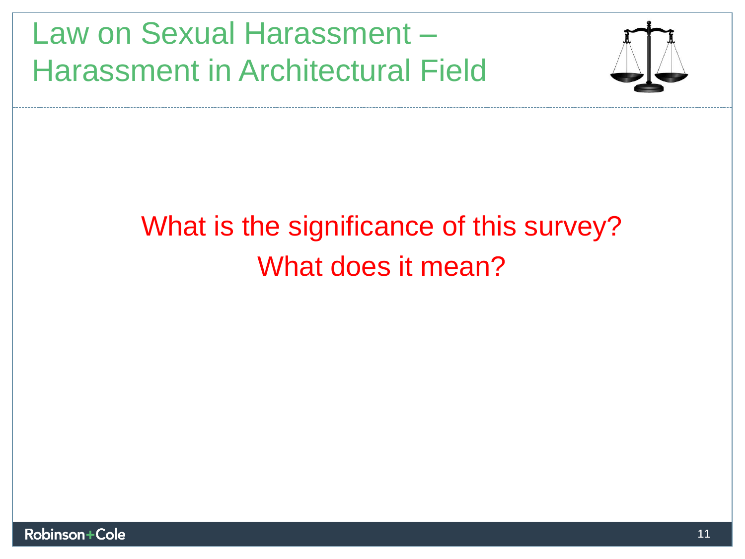**Law on Sexual Harassment**  Law on Sexual Harassment – **Harassment in Architectural Field**  Harassment in Architectural Field



### **What is the significance of this survey?**  What is the significance of this survey? **What does it mean?**  What does it mean?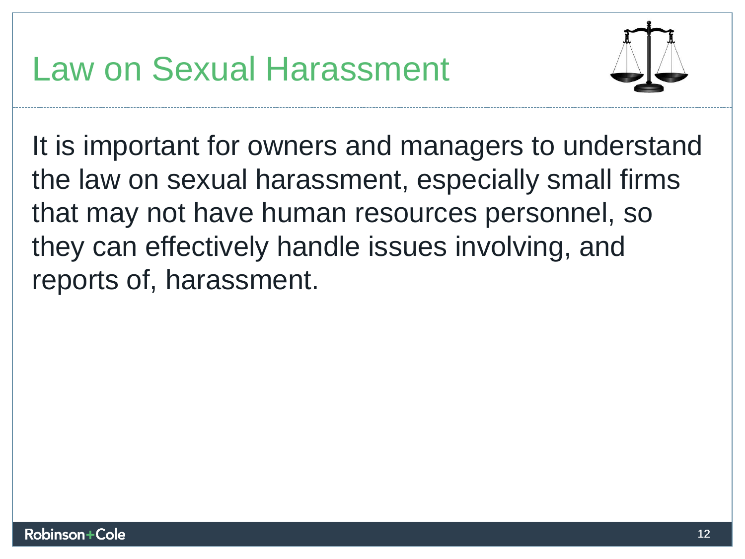

**It is important for owners and managers to understand**  It is important for owners and managers to understand **the law on sexual harassment, especially small firms**  the law on sexual harassment, especially small firms<br>that may not have human resources personnel, so **they can effectively handle issues involving, and**  they can effectively handle issues involving, and **reports of, harassment.**  reports of, harassment.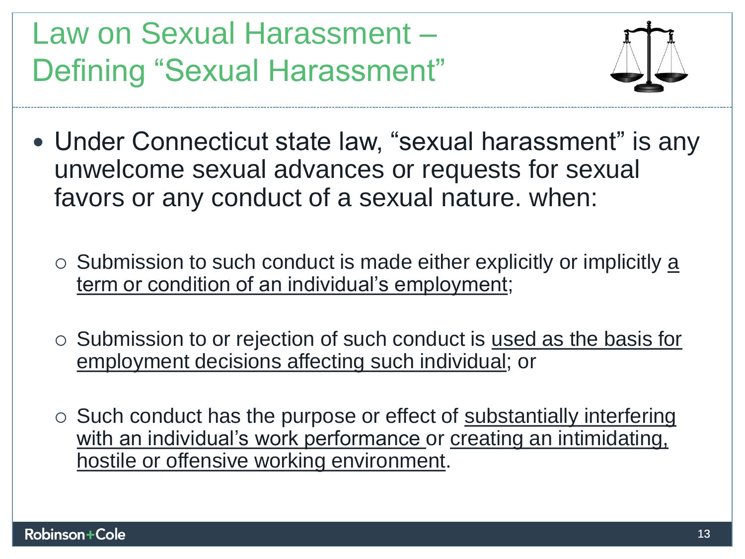**Law on Sexual Harassment**  Law on Sexual Harassment – **Defining "Sexual Harassment"**  Defining "Sexual Harassment"



- **Under Connecticut state law, "sexual harassment" is any**  Under Connecticut state law, "sexual harassment" is any **unwelcome sexual advances or requests for sexual**  unwelcome sexual advances or requests for sexual favors or any conduct of a sexual nature. when: **favors or any conduct of a sexual nature. when:** 
	- o Submission to such conduct is made either explicitly or implicitly a **term or condition of an individual's employment;**  term or condition of an individual's employment;
	- o Submission to or rejection of such conduct is used as the basis for employment decisions affecting such individual; or **employment decisions affecting such individual; or**
	- **o Such conduct has the purpose or effect of substantially interfering**  Such conduct has the purpose or effect of substantially interfering **with an individual's work performance or creating an intimidating,**  with an individual's work performance or creating an intimidating, **hostile or offensive working environment.**  hostile or offensive working environment.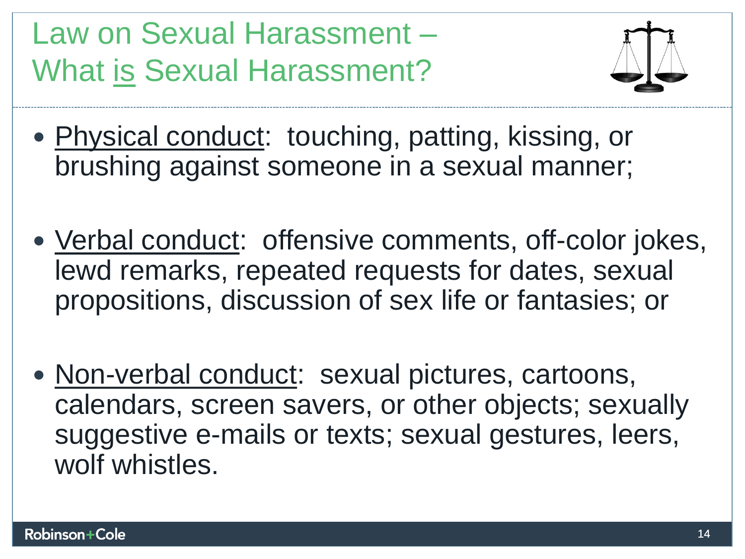**Law on Sexual Harassment**  Law on Sexual Harassment – What is Sexual Harassment?



- Physical conduct: touching, patting, kissing, or<br>brushing against someone in a sexual manner; **brushing against someone in a sexual manner;**
- **Verbal conduct: offensive comments, off-color jokes,**  Verbal conduct: offensive comments, off-color jokes, **lewd remarks, repeated requests for dates, sexual**  lewd remarks, repeated requests for dates, sexual<br>propositions, discussion of sex life or fantasies; or
- **Non-verbal conduct: sexual pictures, cartoons,**  Non-verbal conduct: sexual pictures, cartoons, **calendars, screen savers, or other objects; sexually**  calendars, screen savers, or other objects; sexually<br>suggestive e-mails or texts; sexual gestures, leers, **wolf whistles.**  wolf whistles.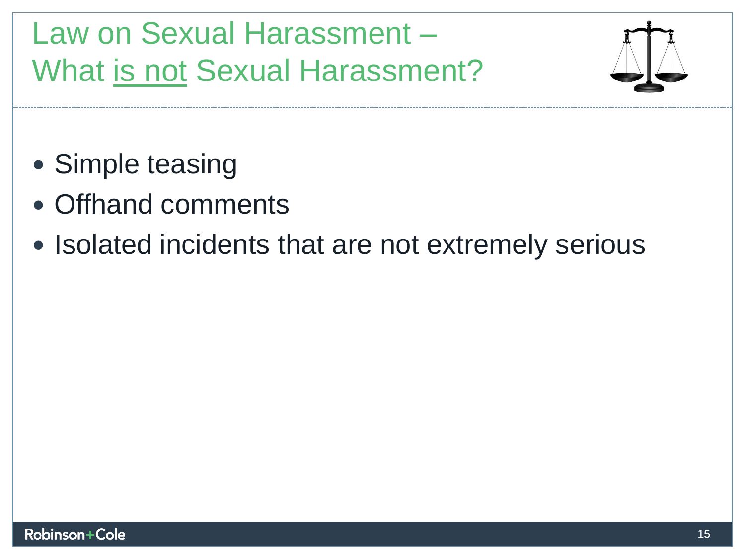**Law on Sexual Harassment**  Law on Sexual Harassment – **What is not Sexual Harassment?**  What is not Sexual Harassment?



- **Simple teasing**  Simple teasing
- **Offhand comments**  Offhand comments
- **Isolated incidents that are not extremely serious**  Isolated incidents that are not extremely serious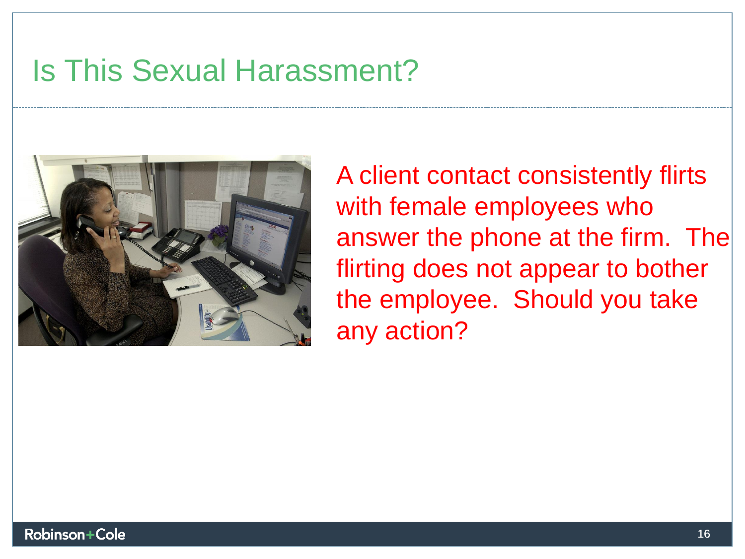#### **Is This Sexual Harassment?**  Is This Sexual Harassment?



**A client contact consistently flirts**  A client contact consistently flirts with female employees who answer the phone at the firm. The **flirting does not appear to bother**  flirting does not appear to bother **the employee. Should you take**  the employee. Should you take **any action?**  any action?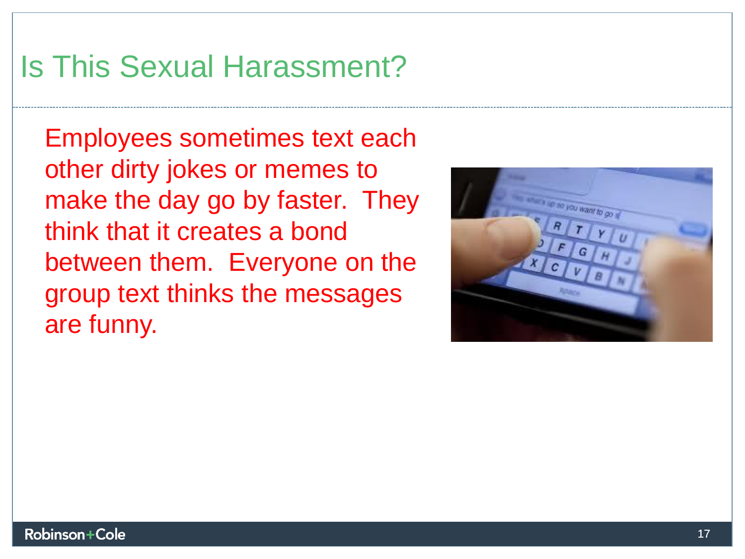### **Is This Sexual Harassment?**  Is This Sexual Harassment?

Employees sometimes text each<br>other dirty jokes or memes to **other dirty jokes or memes to make the day go by faster. They**  make the day go by faster. They **think that it creates a bond**  think that it creates a bond **between them. Everyone on the**  between them. Everyone on the **group text thinks the messages**  group text thinks the messages **are funny.**  are funny.

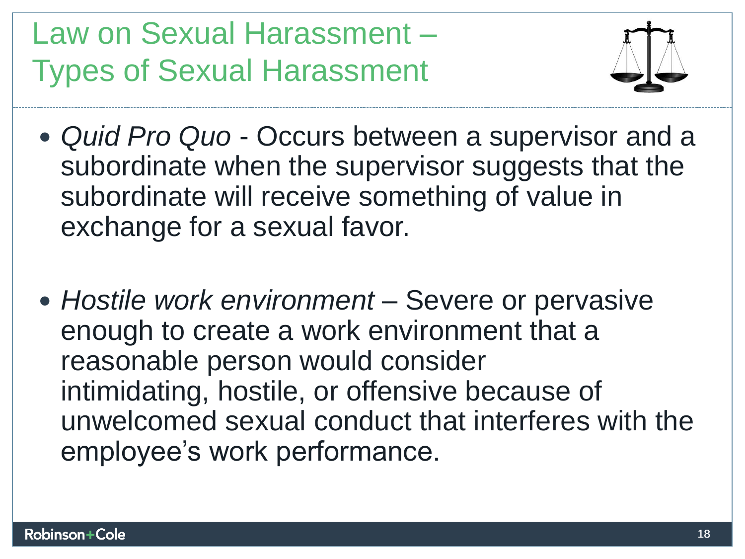**Law on Sexual Harassment**  Law on Sexual Harassment – **Types of Sexual Harassment**  Types of Sexual Harassment



- **Quid Pro Quo Occurs between a supervisor and a**  *Quid Pro Quo*  Occurs between a supervisor and a subordinate when the supervisor suggests that the<br>subordinate will receive something of value in<br>exchange for a sexual favor. **subordinate will receive something of value in exchange for a sexual favor.**
- **Hostile work environment Severe or pervasive**  *Hostile work environment*  Severe or pervasive **enough to create a work environment that a**  enough to create a work environment that a **reasonable person would consider**  reasonable person would consider **intimidating, hostile, or offensive because of**  intimidating, hostile, or offensive because of **unwelcomed sexual conduct that interferes with the**  unwelcomed sexual conduct that interferes with the **employee's work performance.**  employee's work performance.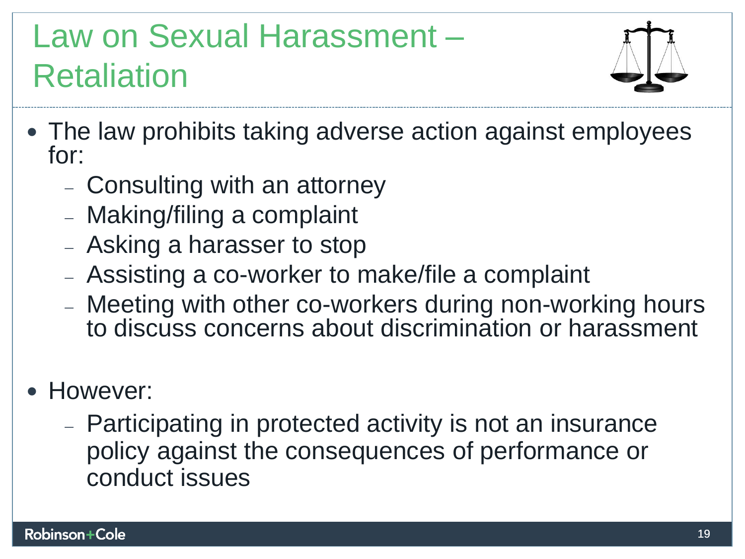### **Law on Sexual Harassment**  Law on Sexual Harassment – **Retaliation**  Retaliation



- **The law prohibits taking adverse action against employees**  The law prohibits taking adverse action against employees **for:**  for:
	- **Consulting with an attorney**  Consulting with an attorney
	- **Making/filing a complaint**  Making/filing a complaint
	- **Asking a harasser to stop**  Asking a harasser to stop
	- **Assisting a co-worker to make/file a complaint**  Assisting a co-worker to make/file a complaint
	- **Meeting with other co-workers during non-working hours**  Meeting with other co-workers during non-working hours **to discuss concerns about discrimination or harassment**  to discuss concerns about discrimination or harassment
- **However:**  However:
	- **Participating in protected activity is not an insurance**  Participating in protected activity is not an insurance **policy against the consequences of performance or**  policy against the consequences of performance or **conduct issues**  conduct issues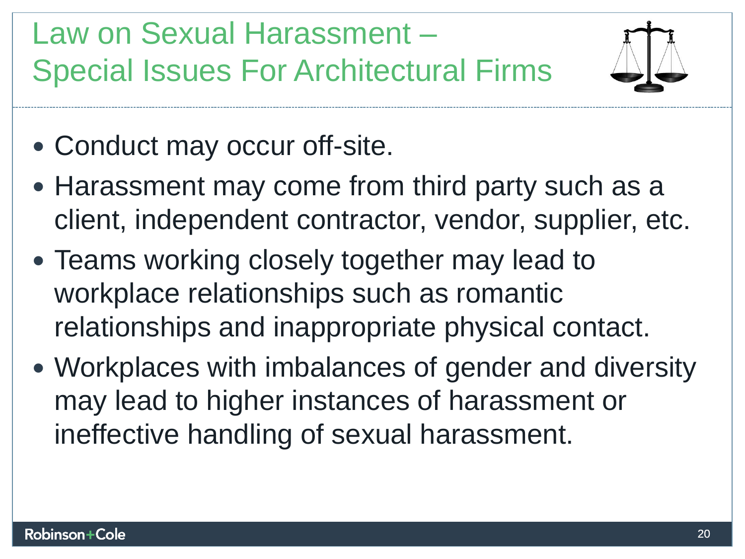**Law on Sexual Harassment**  Law on Sexual Harassment – **Special Issues For Architectural Firms**  Special Issues For Architectural Firms



- **Conduct may occur off-site.**  Conduct may occur off-site.
- **Harassment may come from third party such as a**  Harassment may come from third party such as a **client, independent contractor, vendor, supplier, etc.**  client, independent contractor, vendor, supplier, etc.
- **Teams working closely together may lead to**  Teams working closely together may lead to **workplace relationships such as romantic**  workplace relationships such as romantic **relationships and i**nappropr**i**ate **physical contact.**  relationships and inappropriate physical contact.
- **Workplaces with imbalances of gender and diversity**  Workplaces with imbalances of gender and diversity may lead to higher instances of harassment or<br>ineffective handling of sexual harassment. **ineffective handling of sexual harassment.**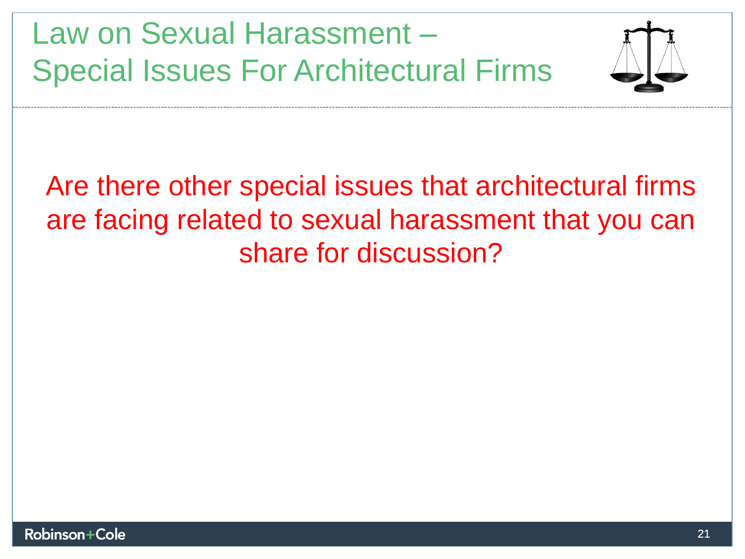**Law on Sexual Harassment**  Law on Sexual Harassment – **Special Issues For Architectural Firms**  Special Issues For Architectural Firms



**Are there other special issues that architectural firms**  Are there other special issues that architectural firms<br>are facing related to sexual harassment that you can **share for discussion?**  share for discussion?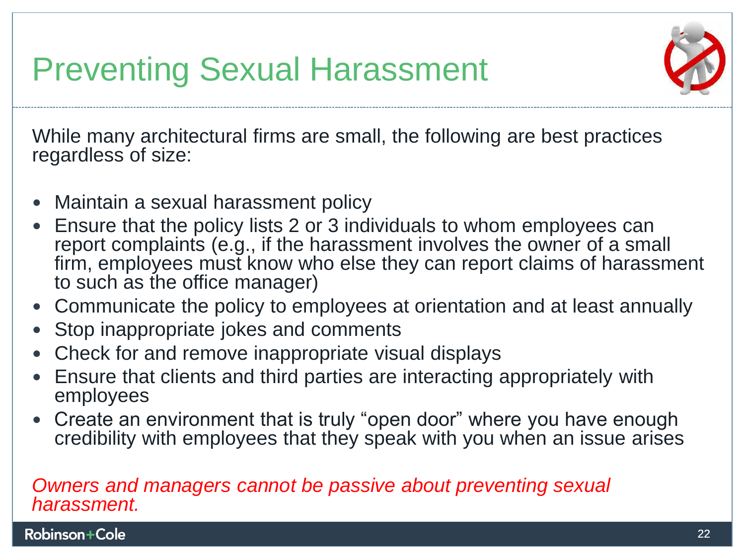**Preventing Sexual Harassment**  Preventing Sexual Harassment



While many architectural firms are small, the following are best practices regardless of size: **regardless of size:** 

- **Maintain a sexual harassment policy**  Maintain a sexual harassment policy
- **Ensure that the policy lists 2 or 3 individuals to whom employees can**  Ensure that the policy lists 2 or 3 individuals to whom employees can **report complaints (e.g., if the harassment involves the owner of a small firm, employees must know who else they can report claims of harassment to such as the office manager)**  report complaints (e.g., if the harassment involves the owner of a small<br>firm, employees must know who else they can report claims of harassment<br>to such as the office manager)
- **Communicate the policy to employees at orientation and at least annually**  Communicate the policy to employees at orientation and at least annually
- **Stop inappropriate jokes and comments**  Stop inappropriate jokes and comments
- **Check for and remove inappropriate visual displays**  Check for and remove inappropriate visual displays
- **Ensure that clients and third parties are interacting appropriately with**  Ensure that clients and third parties are interacting appropriately with employees **employees**
- **Create an environment that is truly "open door" where you have enough**  Create an environment that is truly "open door" where you have enough **credibility with employees that they speak with you when an issue arises**  credibility with employees that they speak with you when an issue arises

#### **Owners and managers cannot be passive about preventing sexual**  *Owners and managers cannot be passive about preventing sexual*  **harassment.**  *harassment.*

**Robinson Cole** 22 22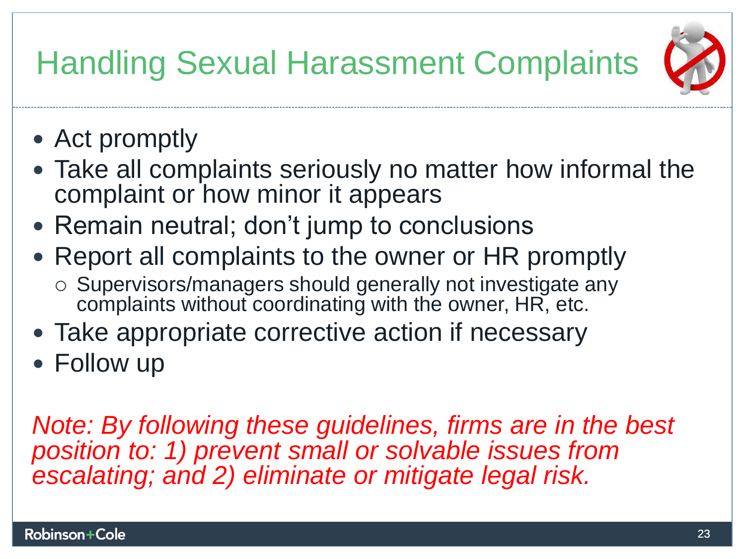### **Handling Sexual Harassment Complaints**  Handling Sexual Harassment Complaints



- **Act promptly**  Act promptly
- **Take all complaints seriously no matter how informal the**  Take all complaints seriously no matter how informal the **complaint or how minor it appears**  complaint or how minor it appears
- **Remain neutral; don't jump to conclusions**  Remain neutral; don't jump to conclusions
- **Report all complaints to the owner or HR promptly**  Report all complaints to the owner or HR promptly
	- **o Supervisors/managers should generally not investigate any**  Supervisors/managers should generally not investigate any **complaints without coordinating with the owner, HR, etc.**  complaints without coordinating with the owner, HR, etc.
- **Take appropriate corrective action if necessary**  Take appropriate corrective action if necessary
- **Follow up**  Follow up

**Note: By following these guidelines, firms are in the best**  *Note: By following these guidelines, firms are in the best*  **position to: 1) prevent small or solvable issues from**  *position to: 1) prevent small or solvable issues from*  **escalating; and 2) eliminate or mitigate legal risk.**  *escalating; and 2) eliminate or mitigate legal risk.*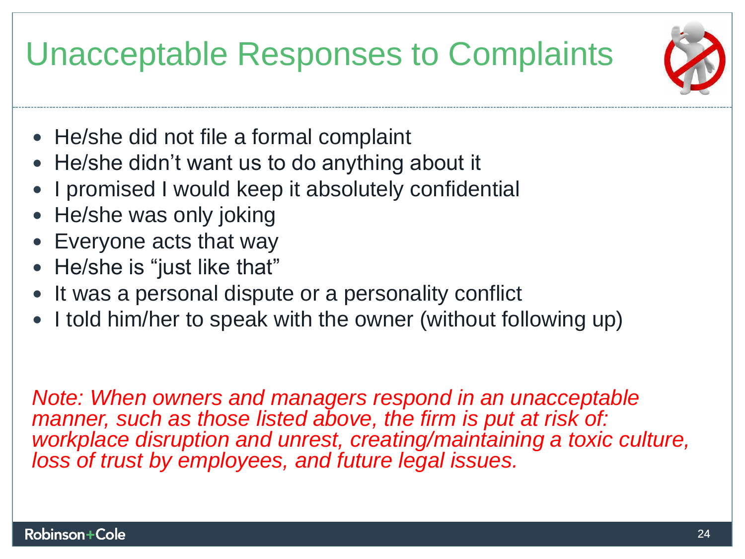**Unacceptable Responses to Complaints**  Unacceptable Responses to Complaints



- **He/she did not file a formal complaint**  He/she did not file a formal complaint
- **He/she didn't want us to do anything about it**  He/she didn't want us to do anything about it
- **I promised I would keep it absolutely confidential**  I promised I would keep it absolutely confidential
- **He/she was only joking**  He/she was only joking
- **Everyone acts that way**  Everyone acts that way
- **He/she is "just like that"**  He/she is "just like that"
- **It was a personal dispute or a personality conflict**  It was a personal dispute or a personality conflict
- **I told him/her to speak with the owner (without following up)**  I told him/her to speak with the owner (without following up)

Note: When owners and managers respond in an unacceptable *Note: When owners and managers respond in an unacceptable*  manner, such as those listed above, the firm is put at risk of: *manner, such as those listed above, the firm is put at risk of:*  workplace disruption and unrest, creating/maintaining a toxic culture, *workplace disruption and unrest, creating/maintaining a toxic culture,*  loss of trust by employees, and future legal issues. *loss of trust by employees, and future legal issues.*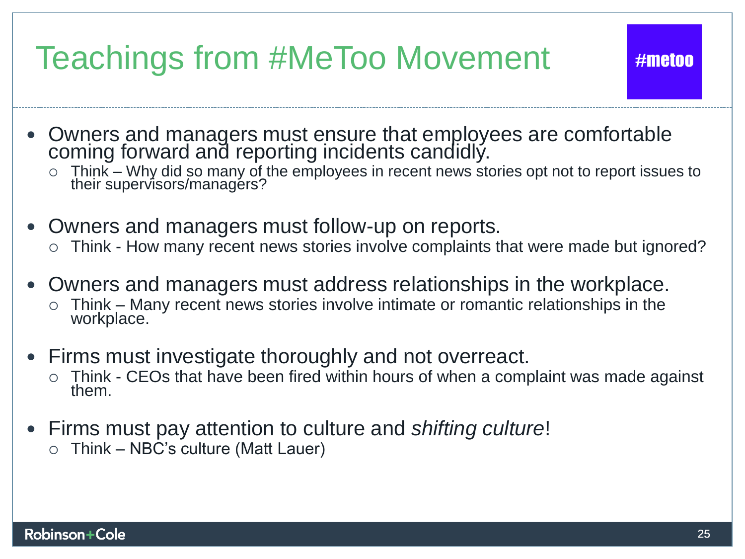### **Teachings from #MeToo Movement**

- Owners and managers must ensure that employees are comfortable **coming forward and reporting incidents candidly.**  Owners and managers must ensure that employees are comfortable coming forward and reporting incidents candidly.
	- **o Think Why did so many of the employees in recent news stories opt not to report issues to their supervisors/managers?**  Think – Why did so many of the employees in recent news stories opt not to report issues to their supervisors/managers?
- **Owners and managers must follow-up on reports.**  Owners and managers must follow-up on reports.
	- **o Think How many recent news stories involve complaints that were made but ignored?**  Think How many recent news stories involve complaints that were made but ignored?
- **Owners and managers must address relationships in the workplace.**  Owners and managers must address relationships in the workplace.
	- **o Think Many recent news stories involve intimate or romantic relationships in the**  Think Many recent news stories involve intimate or romantic relationships in the **workplace.**  workplace.
- **Firms must investigate thoroughly and not overreact.**  Firms must investigate thoroughly and not overreact.
	- **o Think CEOs that have been fired within hours of when a complaint was made against**  Think CEOs that have been fired within hours of when a complaint was made against **them.**  them.
- **•** Firms must pay attention to culture and *shifting culture!* 
	- **a Think NBC's culture (Matt Lauer)**  Think NBC's culture (Matt Lauer)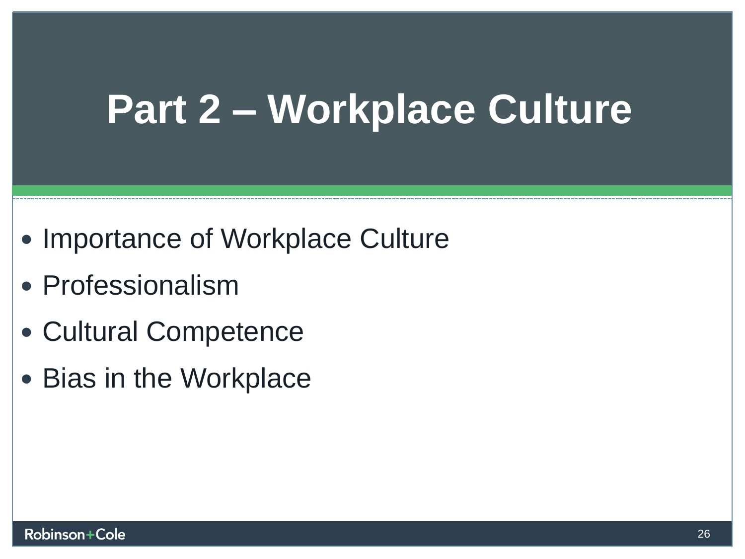## **Part 2 Workplace Culture Part 2 – Workplace Culture**

- **Importance of Workplace Culture**  Importance of Workplace Culture
- **Professionalism**  Professionalism
- **Cultural Competence**  Cultural Competence
- **Bias in the Workplace**  Bias in the Workplace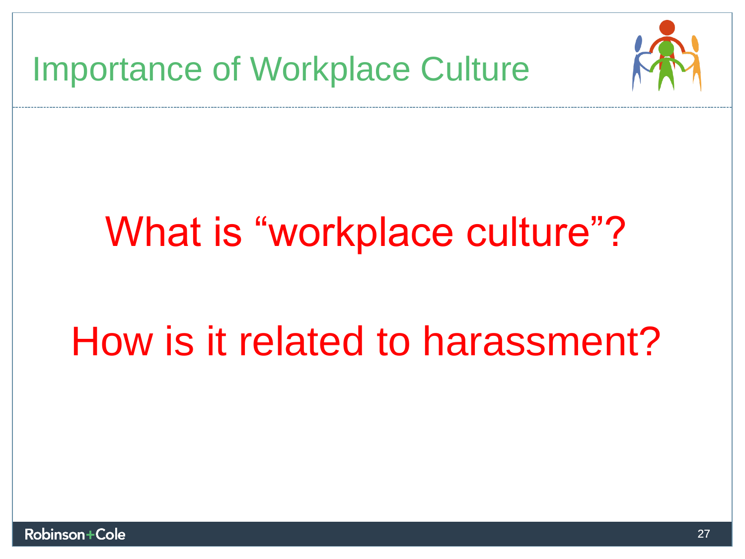

## **What is "workplace culture"?**  What is "workplace culture"?

## **How is it related to harassment?**  How is it related to harassment?

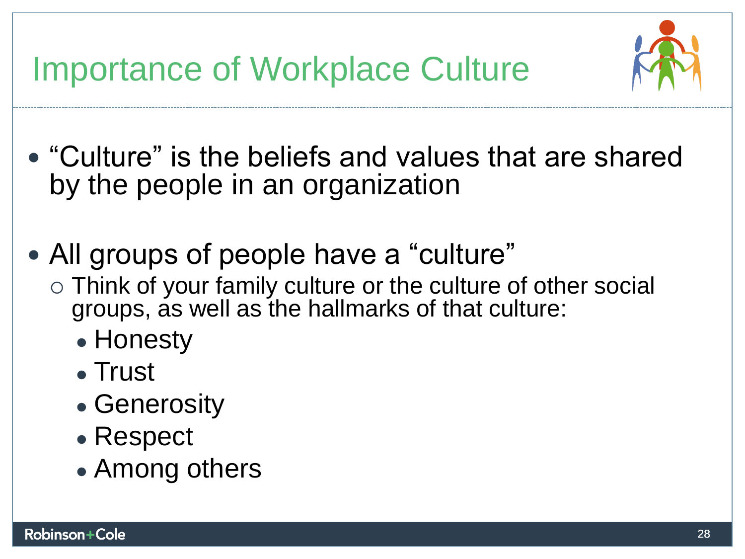**Importance of Workplace Culture AM** Importance of Workplace Culture



- **"Culture" is the beliefs and values that are shared**  "Culture" is the beliefs and values that are shared **by the people in an organization**  by the people in an organization
- **All groups of people have a "culture"**  All groups of people have a "culture"
	- o Think of your family culture or the culture of other social groups, as well as the hallmarks of that culture: **groups, as well as the hallmarks of that culture:** 
		- Honesty
		- **Trust**  Trust
		- **Generosity**  Generosity
		- **Respect**  Respect
		- Among others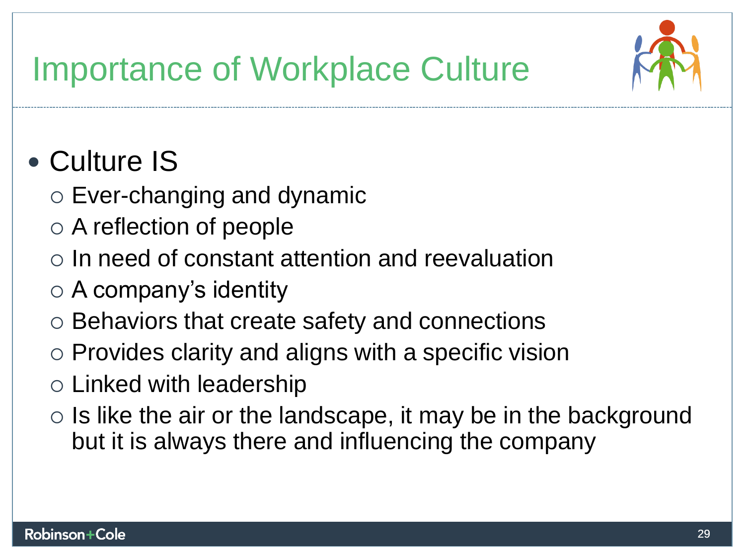

#### **Importance of Workplace Culture** *PP***P** Importance of Workplace Culture

### **• Culture IS**  Culture IS

- **o Ever-changing and dynamic**  Ever-changing and dynamic
- **o A reflection of people**  A reflection of people
- **o In need of constant attention and reevaluation**  In need of constant attention and reevaluation
- **o A company's identity**  A company's identity
- **o Behaviors that create safety and connections**  Behaviors that create safety and connections
- **o Provides clarity and aligns with a specific vision**  Provides clarity and aligns with a specific vision
- **o Linked with leadership**  Linked with leadership
- **o Is like the air or the landscape, it may be in the background**  Is like the air or the landscape, it may be in the background **but it is always there and influencing the company**  but it is always there and influencing the company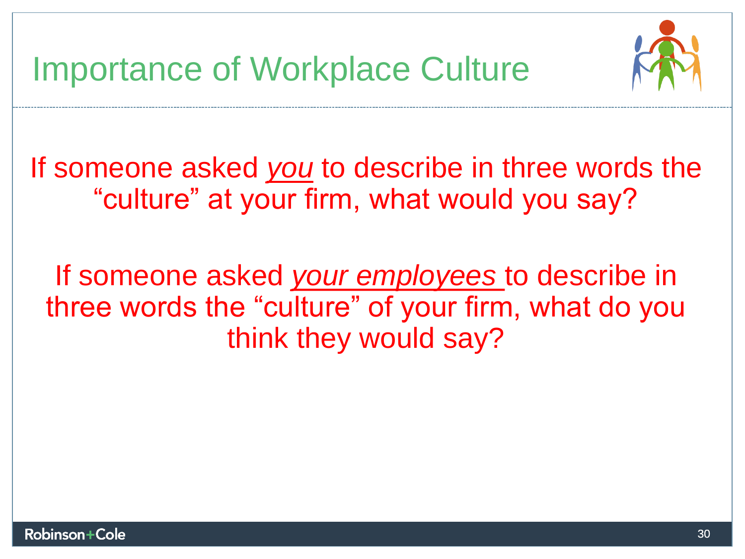

**If someone asked you to describe in three words the**  If someone asked *you* to describe in three words the **"culture" at your firm, what would you say?**  "culture" at your firm, what would you say?

**If someone asked your employees to describe in**  If someone asked *your employees* to describe in<br>three words the "culture" of your firm, what do you **think they would say?**  think they would say?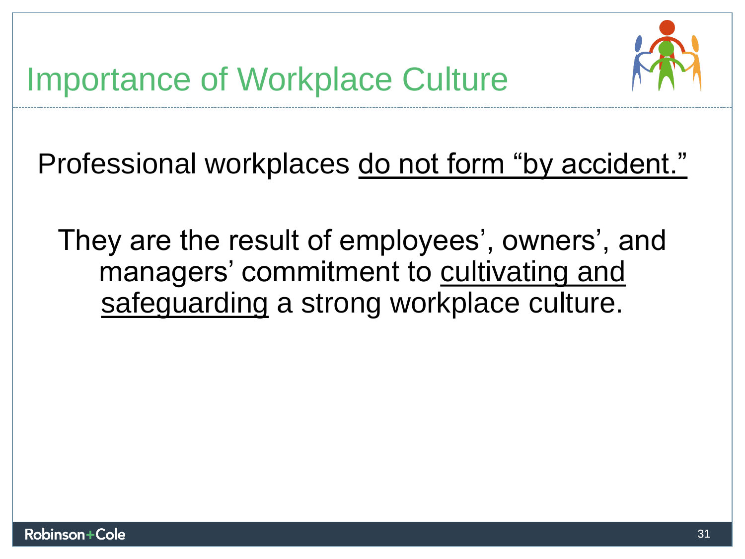

**Professional workplaces do not form "by accident."**  Professional workplaces do not form "by accident."

They are the result of employees', owners', and<br>
managers' commitment to cultivating and<br>
safeguarding a strong workplace culture. **managers' commitment to cultivating and safeguarding a strong workplace culture.**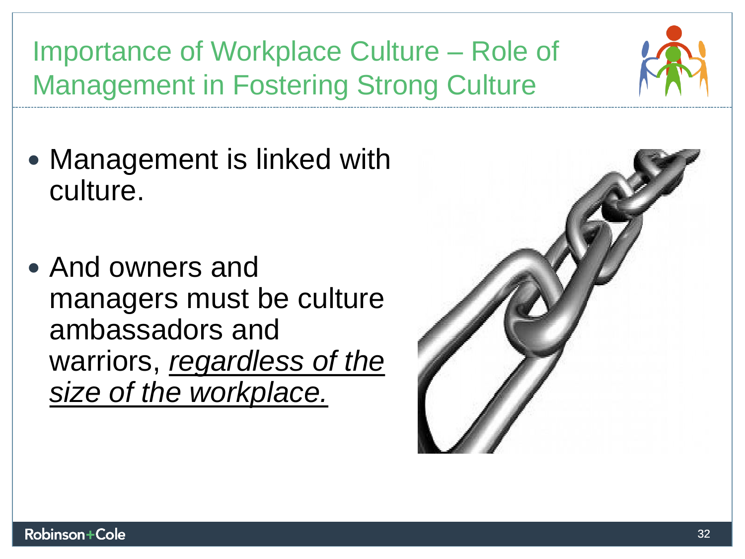Importance of Workplace Culture – Role of **Management in Fostering Strong Culture**  Management in Fostering Strong Culture

- Management is linked with culture. **culture.**
- **And owners and**  • And owners and<br> **managers must be culture ambassadors and**  ambassadors and **warriors, regardless of the**  warriors, *regardless of the*  **size of the workplace.**  *size of the workplace.*

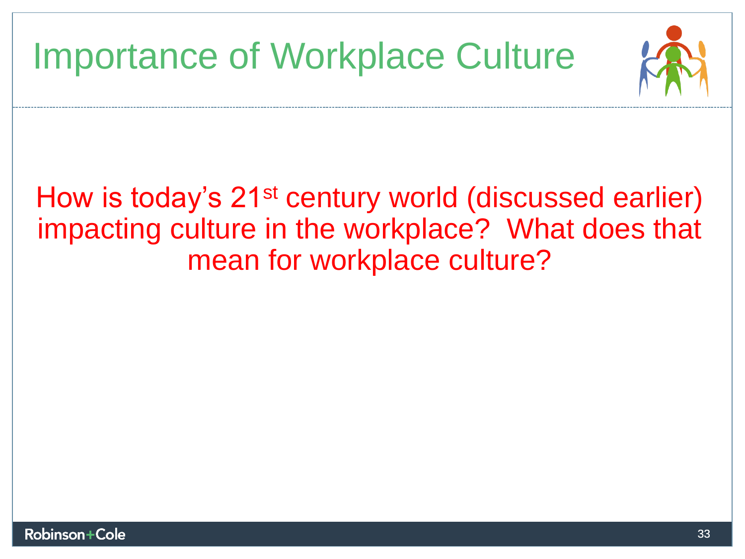### **Importance of Workplace Culture**  Importance of Workplace Culture



#### **How is today's 21st century world (discussed earlier)**  How is today's 21st century world (discussed earlier) **impacting culture in the workplace? What does that**  impacting culture in the workplace? What does that **mean for workplace culture?**  mean for workplace culture?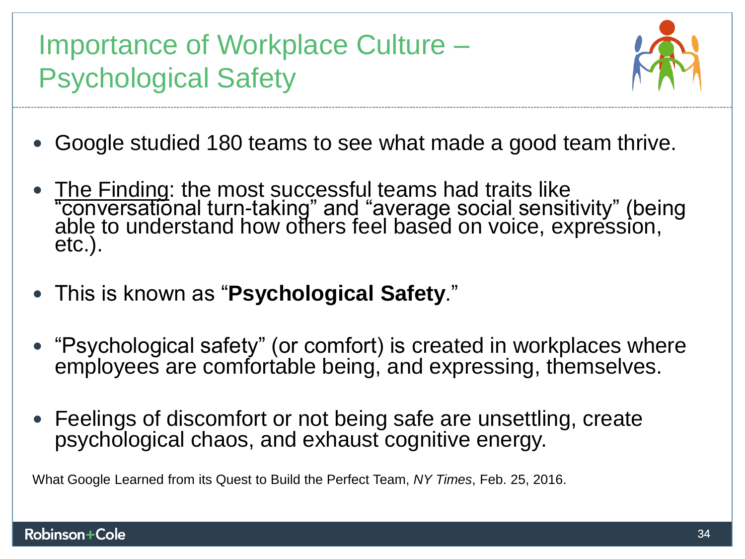**Importance of Workplace Culture**  Importance of Workplace Culture – **Psychological Safety**  Psychological Safety



- **Google studied 180 teams to see what made a good team thrive.**  Google studied 180 teams to see what made a good team thrive.
- The Finding: the most successful teams had traits like conversational **turn-taking" and "average social sensitivity" (being able to understand how others feel based on voice, expression, etc.).**  etc.). • The Finding: the most successful teams had traits like "conversational turn-taking" and "average social sensitivity" (being<br>able to understand how others feel based on voice, expression,
- **This is known as "Psychological Safety."**  This is known as "**Psychological Safety**."
- **"Psychological safety" (or comfort) is created in workplaces where**  "Psychological safety" (or comfort) is created in workplaces where **employees are comfortable being, and expressing, themselves.**  employees are comfortable being, and expressing, themselves.
- **Feelings of discomfort or not being safe are unsettling, create**  Feelings of discomfort or not being safe are unsettling, create psychological chaos, and exhaust cognitive energy. **psychological chaos, and exhaust cognitive energy.**

**What Google Learned from its Quest to Build the Perfect Team, NY** Times, **Feb. 25, 2016.**  What Google Learned from its Quest to Build the Perfect Team, *NY Times*, Feb. 25, 2016.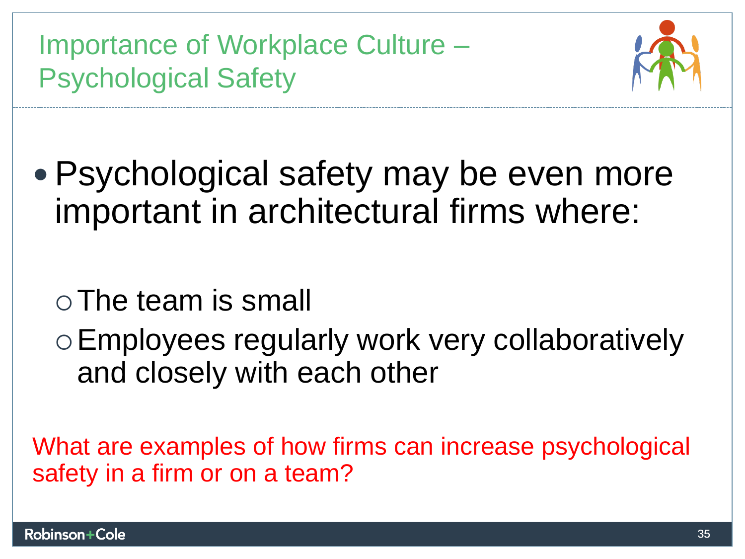**Importance of Workplace Culture**  Importance of Workplace Culture – **Psychological Safety**  Psychological Safety



**• Psychological safety may be even more**  Psychological safety may be even more **important in architectural firms where:**  important in architectural firms where:

o The team is small

**o Employees regularly work very collaboratively**  Employees regularly work very collaboratively **and closely with each other**  and closely with each other

What are examples of how firms can increase psychological<br>safety in a firm or on a team? **safety in a firm or on a team?**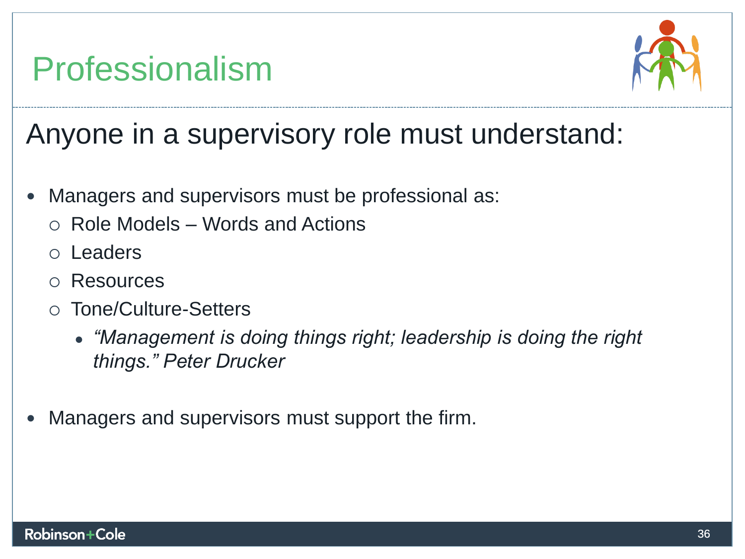### **Professionalism**  Professionalism



**Anyone in a supervisory role must understand:**  Anyone in a supervisory role must understand:

- **Managers and supervisors must be professional as:**  Managers and supervisors must be professional as:
	- **o Role Models Words and Actions**  Role Models Words and Actions
	- **o Leaders**  Leaders
	- **o Resources**  Resources
	- **o Tone/Culture-Setters**  Tone/Culture-Setters
		- $\bullet$  "Management is doing things right; leadership is doing the right **things." Peter Drucker**  *things." Peter Drucker*
- **Managers and supervisors must support the firm.**  Managers and supervisors must support the firm.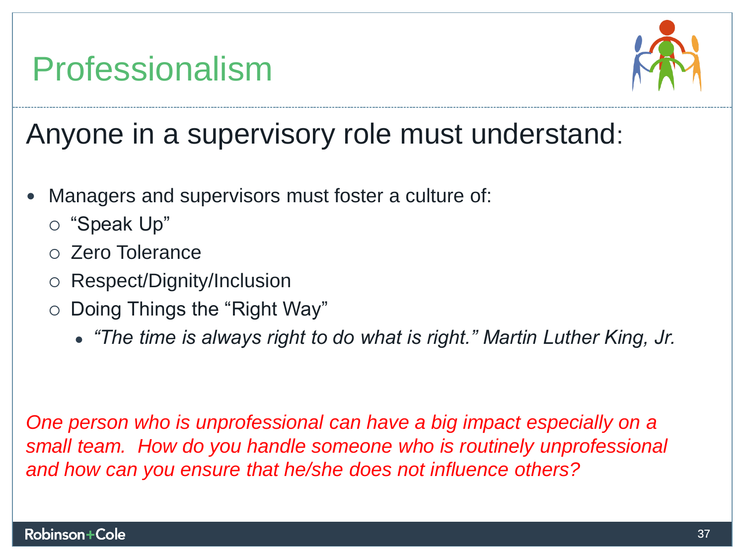### **Professionalism**  Professionalism



**Anyone in a supervisory role must understand:**  Anyone in a supervisory role must understand:

- **Managers and supervisors must foster a culture of:**  Managers and supervisors must foster a culture of:
	- **o "Speak Up"**  "Speak Up"
	- **o Zero Tolerance**  Zero Tolerance
	- **o Respect/Dignity/Inclusion**  Respect/Dignity/Inclusion
	- **o Doing Things the "Right Way"**  Doing Things the "Right Way"
		- **"The time is always right to do what is right" Martin Luther King, Jr.**  *"The time is always right to do what is right." Martin Luther King, Jr.*

**One person who is unprofessional can have a big impact especially on a**  *One person who is unprofessional can have a big impact especially on a*  **small team. How do you handle someone who is routinely unprofessional**  *small team. How do you handle someone who is routinely unprofessional*  **and how can you ensure that he/she does not influence others?**  *and how can you ensure that he/she does not influence others?*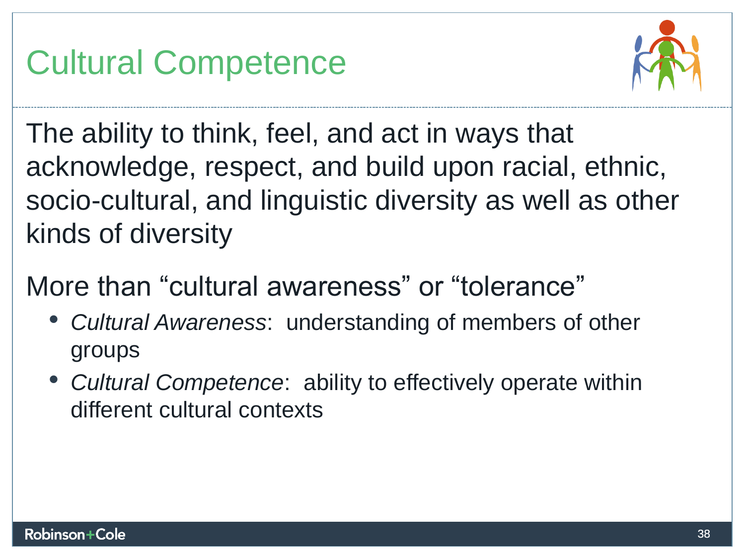### **Cultural Competence**  Cultural Competence



**The ability to think, feel, and act in ways that**  The ability to think, feel, and act in ways that **acknowledge, respect, and build upon racial, ethnic,**  acknowledge, respect, and build upon racial, ethnic, **socio-cultural, and linguistic diversity as well as other**  socio-cultural, and linguistic diversity as well as other **kinds of diversity**  kinds of diversity

**More than "cultural awareness" or "tolerance"**  More than "cultural awareness" or "tolerance"

- Cultural Awareness: **understanding of members of other**  *Cultural Awareness*: understanding of members of other **groups**  groups
- Cultural Competence: **ability to effectively operate within**  *Cultural Competence*: ability to effectively operate within different cultural contexts**different cultural contexts**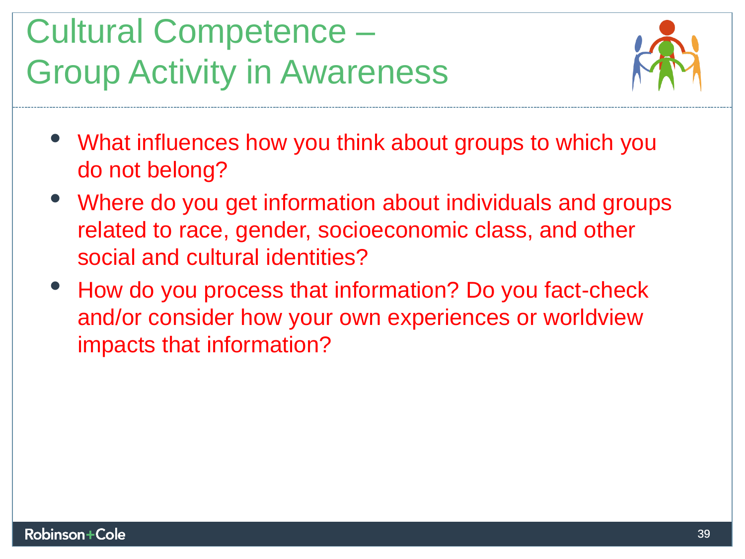### **Cultural Competence**  Cultural Competence – **Group Activity in Awareness**  Group Activity in Awareness



- **What influences how you think about groups to which you**  What influences how you think about groups to which you do not belong? **do not belong?**
- **Where do you get information about individuals and groups**  Where do you get information about individuals and groups **related to race, gender, socioeconomic class, and other**  related to race, gender, socioeconomic class, and other **social and cultural identities?**  social and cultural identities?
- How do you process that information? Do you fact-check<br>and/or consider how your own experiences or worldview<br>impacts that information? **and/or consider how your own experiences or worldview impacts that information?**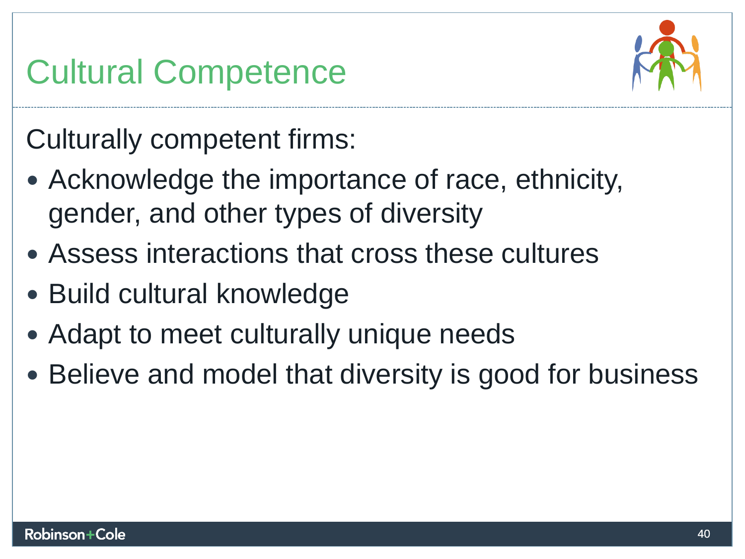### **Cultural Competence**  Cultural Competence



**Culturally competent firms:**  Culturally competent firms:

- **Acknowledge the importance of race, ethnicity,**  Acknowledge the importance of race, ethnicity, **gender, and other types of diversity**  gender, and other types of diversity
- **Assess interactions that cross these cultures**  Assess interactions that cross these cultures
- **Build cultural knowledge**  Build cultural knowledge
- **Adapt to meet culturally unique needs**  Adapt to meet culturally unique needs
- **Believe and model that diversity is good for business**  Believe and model that diversity is good for business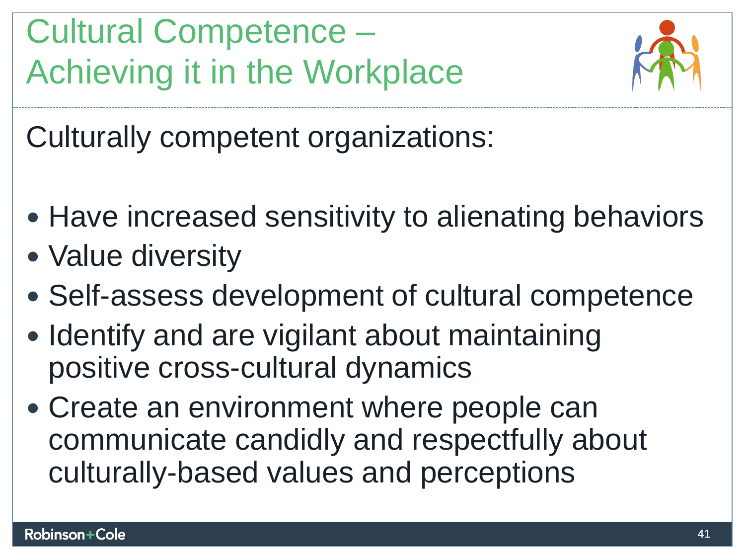**Cultural Competence**  Cultural Competence – **Achieving it in the Workplace**  Achieving it in the Workplace



**Culturally competent organizations:**  Culturally competent organizations:

- **Have increased sensitivity to alienating behaviors**  Have increased sensitivity to alienating behaviors
- **Value diversity**  Value diversity
- **Self-assess development of cultural competence**  Self-assess development of cultural competence
- **Identify and are vigilant about maintaining positive cross-cultural dynamics**  • Identify and are vigilant about maintaining<br>positive cross-cultural dynamics
- **Create an environment where people can**  Create an environment where people can **communicate candidly and respectfully about**  communicate candidly and respectfully about **culturally-based values and perceptions**  culturally-based values and perceptions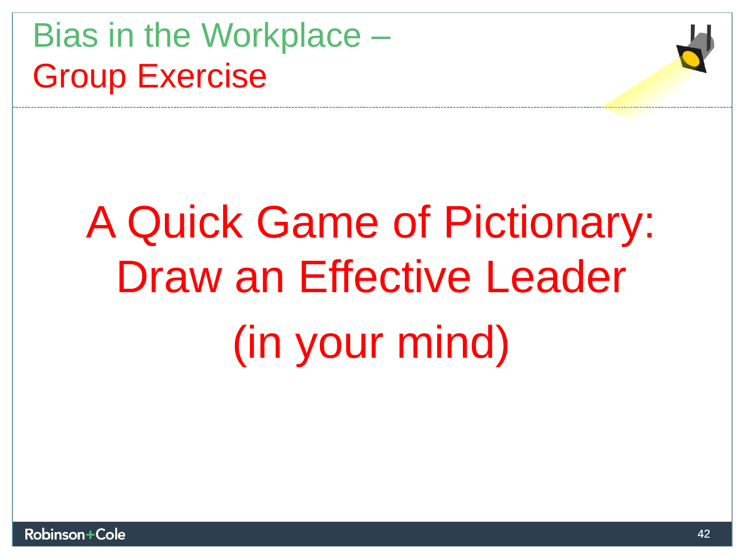**Bias in the Workplace**  Bias in the Workplace – **Group Exercise**  Group Exercise

# **A Quick Game of Pictionary:**  A Quick Game of Pictionary: **Draw an Effective Leader**  Draw an Effective Leader **(in your mind)**  (in your mind)



**40**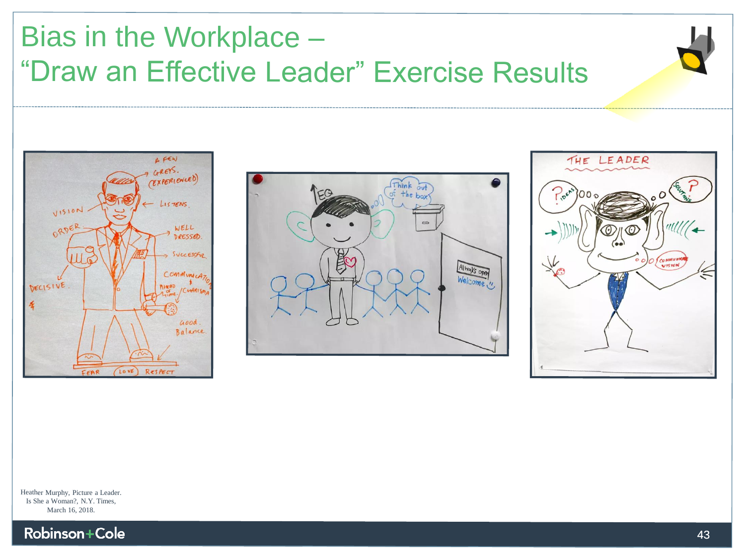**Bias in the Workplace**  Bias in the Workplace – **"Draw an Effective Leader" Exercise Results**  "Draw an Effective Leader" Exercise Results







Heather Murphy, Picture a Leader. Heather Murphy, Picture a Leader. Is She a Woman?, N.Y. Times,<br>March 16, 2018. March 16, 2018.

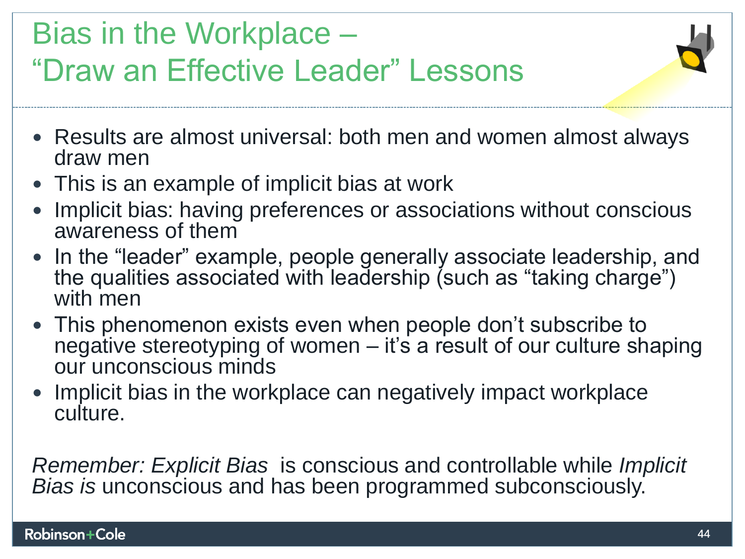### **Bias in the Workplace**  Bias in the Workplace – **"Draw an Effective Leader" Lessons**  "Draw an Effective Leader" Lessons

- **Results are almost universal: both men and women almost always draw men draw men**
- **This is an example of implicit bias at work**  This is an example of implicit bias at work
- Implicit bias: having preferences or associations without conscious<br>awareness of them **awareness of them**
- **In the "leader" example, people generally associate leadership, and**  In the "leader" example, people generally associate leadership, and **the qualities associated with leadership (such as "taking charge")**  the qualities associated with leadership (such as "taking charge") **with men**  with men
- **This phenomenon exists even when people don't subscribe to negative stereotyping of women — it's a result of our culture shaping our unconscious minds**  This phenomenon exists even when people don't subscribe to negative stereotyping of women – it's a result of our culture shaping our unconscious minds
- Implicit bias in the workplace can negatively impact workplace culture. **culture.**

Remember: Explicit Bias **is conscious and controllable while** Implicit *Remember: Explicit Bias* is conscious and controllable while *Implicit Bias is* unconscious and has been programmed subconsciously.Bias is **unconscious and has been programmed subconsciously.**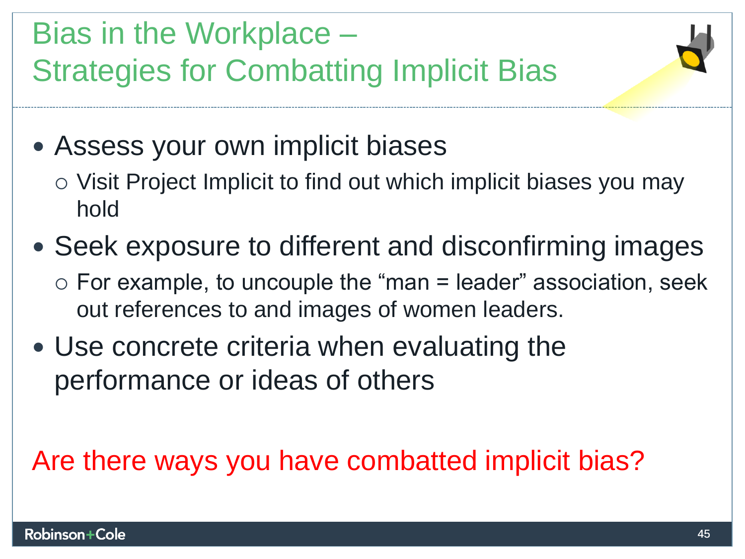**Bias in the Workplace**  Bias in the Workplace – **Strategies for Combatting Implicit Bias**  Strategies for Combatting Implicit Bias

- **Assess your own implicit biases**  Assess your own implicit biases
	- o Visit Project Implicit to find out which implicit biases you may hold **hold**
- **Seek exposure to different and disconfirming images**  Seek exposure to different and disconfirming images
	- o For example, to uncouple the "man = leader" association, seek<br>out references to and images of women leaders. **out references to and images of women leaders.**
- **Use concrete criteria when evaluating the**  Use concrete criteria when evaluating the **performance or ideas of others**  performance or ideas of others

#### **Are there ways you have combatted implicit bias?**  Are there ways you have combatted implicit bias?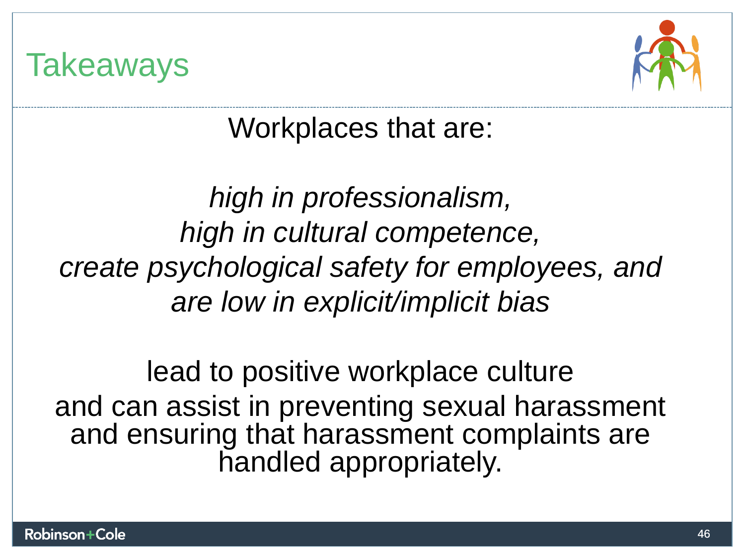



**Workplaces that are:**  Workplaces that are:

**high in professionalism,**  *high in professionalism,*  **high in cultural competence,**  *high in cultural competence,* **create psychological safety for employees, and**  *create psychological safety for employees, and*  **are low in explicit/implicit bias**  *are low in explicit/implicit bias* 

**lead to positive workplace culture**  lead to positive workplace culture **and can assist in preventing sexual harassment**  and can assist in preventing sexual harassment **and ensuring that harassment complaints are**  and ensuring that harassment complaints are **handled appropriately.**  handled appropriately.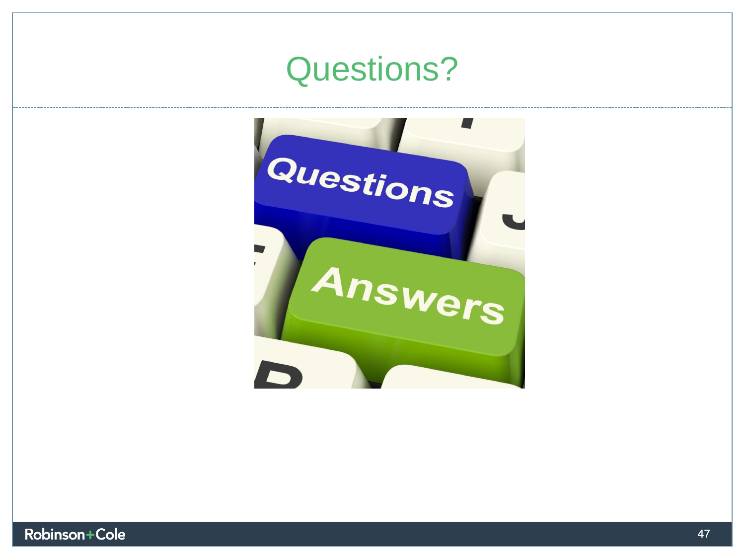### **Questions?**  Questions?